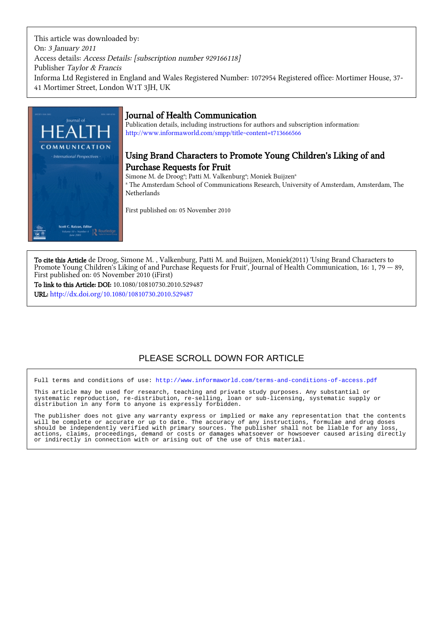This article was downloaded by: On: 3 January 2011 Access details: Access Details: [subscription number 929166118] Publisher Taylor & Francis Informa Ltd Registered in England and Wales Registered Number: 1072954 Registered office: Mortimer House, 37- 41 Mortimer Street, London W1T 3JH, UK



## Journal of Health Communication

Publication details, including instructions for authors and subscription information: <http://www.informaworld.com/smpp/title~content=t713666566>

## Using Brand Characters to Promote Young Children's Liking of and Purchase Requests for Fruit

Simone M. de Droog<sup>a</sup>; Patti M. Valkenburg<sup>a</sup>; Moniek Buijzen<sup>a</sup>

a The Amsterdam School of Communications Research, University of Amsterdam, Amsterdam, The Netherlands

First published on: 05 November 2010

To cite this Article de Droog, Simone M. , Valkenburg, Patti M. and Buijzen, Moniek(2011) 'Using Brand Characters to Promote Young Children's Liking of and Purchase Requests for Fruit', Journal of Health Communication, 16: 1, 79 — 89, First published on: 05 November 2010 (iFirst)

To link to this Article: DOI: 10.1080/10810730.2010.529487 URL: <http://dx.doi.org/10.1080/10810730.2010.529487>

## PLEASE SCROLL DOWN FOR ARTICLE

Full terms and conditions of use:<http://www.informaworld.com/terms-and-conditions-of-access.pdf>

This article may be used for research, teaching and private study purposes. Any substantial or<br>systematic reproduction, re-distribution, re-selling, loan or sub-licensing, systematic supply or systematic reproduction, re-distribution, re-selling, loan or sub-licensing, systematic supply or distribution in any form to anyone is expressly forbidden.

The publisher does not give any warranty express or implied or make any representation that the contents will be complete or accurate or up to date. The accuracy of any instructions, formulae and drug doses should be independently verified with primary sources. The publisher shall not be liable for any loss, actions, claims, proceedings, demand or costs or damages whatsoever or howsoever caused arising directly or indirectly in connection with or arising out of the use of this material.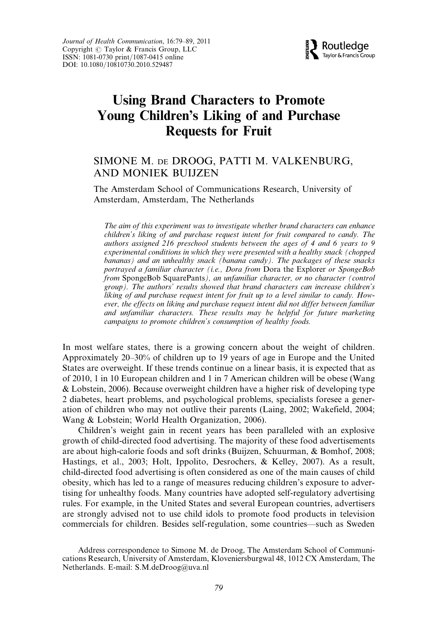

# Using Brand Characters to Promote Young Children's Liking of and Purchase Requests for Fruit

### SIMONE M. DE DROOG, PATTI M. VALKENBURG, AND MONIEK BUIJZEN

The Amsterdam School of Communications Research, University of Amsterdam, Amsterdam, The Netherlands

The aim of this experiment was to investigate whether brand characters can enhance children's liking of and purchase request intent for fruit compared to candy. The authors assigned 216 preschool students between the ages of 4 and 6 years to 9 experimental conditions in which they were presented with a healthy snack (chopped bananas) and an unhealthy snack (banana candy). The packages of these snacks portrayed a familiar character (i.e., Dora from Dora the Explorer or SpongeBob from SpongeBob SquarePants), an unfamiliar character, or no character (control group). The authors' results showed that brand characters can increase children's liking of and purchase request intent for fruit up to a level similar to candy. However, the effects on liking and purchase request intent did not differ between familiar and unfamiliar characters. These results may be helpful for future marketing campaigns to promote children's consumption of healthy foods.

In most welfare states, there is a growing concern about the weight of children. Approximately 20–30% of children up to 19 years of age in Europe and the United States are overweight. If these trends continue on a linear basis, it is expected that as of 2010, 1 in 10 European children and 1 in 7 American children will be obese (Wang & Lobstein, 2006). Because overweight children have a higher risk of developing type 2 diabetes, heart problems, and psychological problems, specialists foresee a generation of children who may not outlive their parents (Laing, 2002; Wakefield, 2004; Wang & Lobstein; World Health Organization, 2006).

Children's weight gain in recent years has been paralleled with an explosive growth of child-directed food advertising. The majority of these food advertisements are about high-calorie foods and soft drinks (Buijzen, Schuurman, & Bomhof, 2008; Hastings, et al., 2003; Holt, Ippolito, Desrochers, & Kelley, 2007). As a result, child-directed food advertising is often considered as one of the main causes of child obesity, which has led to a range of measures reducing children's exposure to advertising for unhealthy foods. Many countries have adopted self-regulatory advertising rules. For example, in the United States and several European countries, advertisers are strongly advised not to use child idols to promote food products in television commercials for children. Besides self-regulation, some countries—such as Sweden

Address correspondence to Simone M. de Droog, The Amsterdam School of Communications Research, University of Amsterdam, Kloveniersburgwal 48, 1012 CX Amsterdam, The Netherlands. E-mail: S.M.deDroog@uva.nl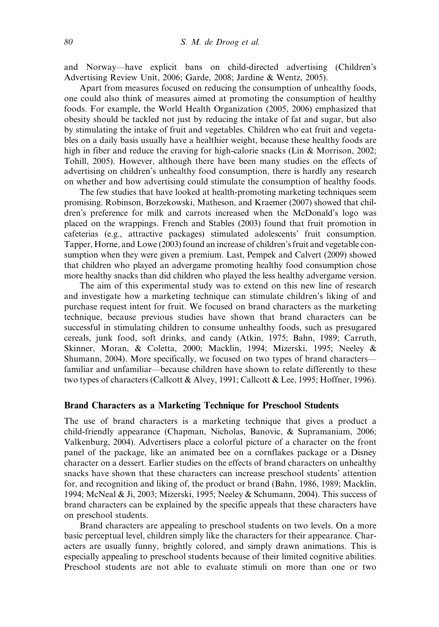and Norway—have explicit bans on child-directed advertising (Children's Advertising Review Unit, 2006; Garde, 2008; Jardine & Wentz, 2005).

Apart from measures focused on reducing the consumption of unhealthy foods, one could also think of measures aimed at promoting the consumption of healthy foods. For example, the World Health Organization (2005, 2006) emphasized that obesity should be tackled not just by reducing the intake of fat and sugar, but also by stimulating the intake of fruit and vegetables. Children who eat fruit and vegetables on a daily basis usually have a healthier weight, because these healthy foods are high in fiber and reduce the craving for high-calorie snacks (Lin & Morrison, 2002; Tohill, 2005). However, although there have been many studies on the effects of advertising on children's unhealthy food consumption, there is hardly any research on whether and how advertising could stimulate the consumption of healthy foods.

The few studies that have looked at health-promoting marketing techniques seem promising. Robinson, Borzekowski, Matheson, and Kraemer (2007) showed that children's preference for milk and carrots increased when the McDonald's logo was placed on the wrappings. French and Stables (2003) found that fruit promotion in cafeterias (e.g., attractive packages) stimulated adolescents' fruit consumption. Tapper, Horne, and Lowe (2003) found an increase of children's fruit and vegetable consumption when they were given a premium. Last, Pempek and Calvert (2009) showed that children who played an advergame promoting healthy food consumption chose more healthy snacks than did children who played the less healthy advergame version.

The aim of this experimental study was to extend on this new line of research and investigate how a marketing technique can stimulate children's liking of and purchase request intent for fruit. We focused on brand characters as the marketing technique, because previous studies have shown that brand characters can be successful in stimulating children to consume unhealthy foods, such as presugared cereals, junk food, soft drinks, and candy (Atkin, 1975; Bahn, 1989; Carruth, Skinner, Moran, & Coletta, 2000; Macklin, 1994; Mizerski, 1995; Neeley & Shumann, 2004). More specifically, we focused on two types of brand characters familiar and unfamiliar—because children have shown to relate differently to these two types of characters (Callcott & Alvey, 1991; Callcott & Lee, 1995; Hoffner, 1996).

#### Brand Characters as a Marketing Technique for Preschool Students

The use of brand characters is a marketing technique that gives a product a child-friendly appearance (Chapman, Nicholas, Banovic, & Supramaniam, 2006; Valkenburg, 2004). Advertisers place a colorful picture of a character on the front panel of the package, like an animated bee on a cornflakes package or a Disney character on a dessert. Earlier studies on the effects of brand characters on unhealthy snacks have shown that these characters can increase preschool students' attention for, and recognition and liking of, the product or brand (Bahn, 1986, 1989; Macklin, 1994; McNeal & Ji, 2003; Mizerski, 1995; Neeley & Schumann, 2004). This success of brand characters can be explained by the specific appeals that these characters have on preschool students.

Brand characters are appealing to preschool students on two levels. On a more basic perceptual level, children simply like the characters for their appearance. Characters are usually funny, brightly colored, and simply drawn animations. This is especially appealing to preschool students because of their limited cognitive abilities. Preschool students are not able to evaluate stimuli on more than one or two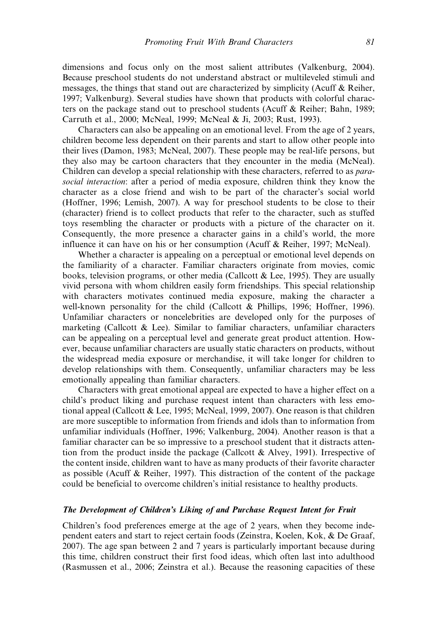dimensions and focus only on the most salient attributes (Valkenburg, 2004). Because preschool students do not understand abstract or multileveled stimuli and messages, the things that stand out are characterized by simplicity (Acuff & Reiher, 1997; Valkenburg). Several studies have shown that products with colorful characters on the package stand out to preschool students (Acuff & Reiher; Bahn, 1989; Carruth et al., 2000; McNeal, 1999; McNeal & Ji, 2003; Rust, 1993).

Characters can also be appealing on an emotional level. From the age of 2 years, children become less dependent on their parents and start to allow other people into their lives (Damon, 1983; McNeal, 2007). These people may be real-life persons, but they also may be cartoon characters that they encounter in the media (McNeal). Children can develop a special relationship with these characters, referred to as *para*social interaction: after a period of media exposure, children think they know the character as a close friend and wish to be part of the character's social world (Hoffner, 1996; Lemish, 2007). A way for preschool students to be close to their (character) friend is to collect products that refer to the character, such as stuffed toys resembling the character or products with a picture of the character on it. Consequently, the more presence a character gains in a child's world, the more influence it can have on his or her consumption (Acuff & Reiher, 1997; McNeal).

Whether a character is appealing on a perceptual or emotional level depends on the familiarity of a character. Familiar characters originate from movies, comic books, television programs, or other media (Callcott & Lee, 1995). They are usually vivid persona with whom children easily form friendships. This special relationship with characters motivates continued media exposure, making the character a well-known personality for the child (Callcott & Phillips, 1996; Hoffner, 1996). Unfamiliar characters or noncelebrities are developed only for the purposes of marketing (Callcott  $\&$  Lee). Similar to familiar characters, unfamiliar characters can be appealing on a perceptual level and generate great product attention. However, because unfamiliar characters are usually static characters on products, without the widespread media exposure or merchandise, it will take longer for children to develop relationships with them. Consequently, unfamiliar characters may be less emotionally appealing than familiar characters.

Characters with great emotional appeal are expected to have a higher effect on a child's product liking and purchase request intent than characters with less emotional appeal (Callcott & Lee, 1995; McNeal, 1999, 2007). One reason is that children are more susceptible to information from friends and idols than to information from unfamiliar individuals (Hoffner, 1996; Valkenburg, 2004). Another reason is that a familiar character can be so impressive to a preschool student that it distracts attention from the product inside the package (Callcott & Alvey, 1991). Irrespective of the content inside, children want to have as many products of their favorite character as possible (Acuff  $\&$  Reiher, 1997). This distraction of the content of the package could be beneficial to overcome children's initial resistance to healthy products.

#### The Development of Children's Liking of and Purchase Request Intent for Fruit

Children's food preferences emerge at the age of 2 years, when they become independent eaters and start to reject certain foods (Zeinstra, Koelen, Kok, & De Graaf, 2007). The age span between 2 and 7 years is particularly important because during this time, children construct their first food ideas, which often last into adulthood (Rasmussen et al., 2006; Zeinstra et al.). Because the reasoning capacities of these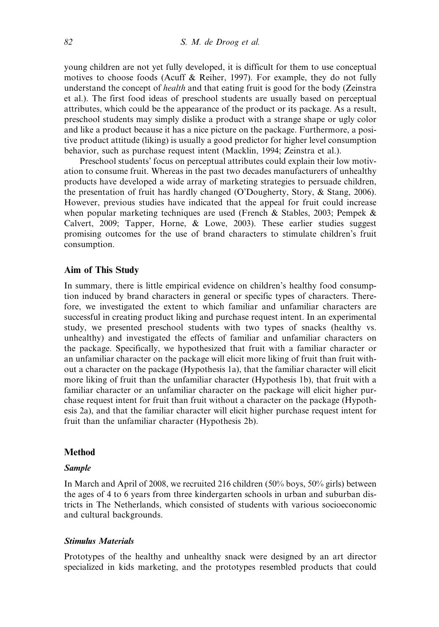young children are not yet fully developed, it is difficult for them to use conceptual motives to choose foods (Acuff & Reiher, 1997). For example, they do not fully understand the concept of *health* and that eating fruit is good for the body (Zeinstra et al.). The first food ideas of preschool students are usually based on perceptual attributes, which could be the appearance of the product or its package. As a result, preschool students may simply dislike a product with a strange shape or ugly color and like a product because it has a nice picture on the package. Furthermore, a positive product attitude (liking) is usually a good predictor for higher level consumption behavior, such as purchase request intent (Macklin, 1994; Zeinstra et al.).

Preschool students' focus on perceptual attributes could explain their low motivation to consume fruit. Whereas in the past two decades manufacturers of unhealthy products have developed a wide array of marketing strategies to persuade children, the presentation of fruit has hardly changed (O'Dougherty, Story, & Stang, 2006). However, previous studies have indicated that the appeal for fruit could increase when popular marketing techniques are used (French & Stables, 2003; Pempek & Calvert, 2009; Tapper, Horne, & Lowe, 2003). These earlier studies suggest promising outcomes for the use of brand characters to stimulate children's fruit consumption.

#### Aim of This Study

In summary, there is little empirical evidence on children's healthy food consumption induced by brand characters in general or specific types of characters. Therefore, we investigated the extent to which familiar and unfamiliar characters are successful in creating product liking and purchase request intent. In an experimental study, we presented preschool students with two types of snacks (healthy vs. unhealthy) and investigated the effects of familiar and unfamiliar characters on the package. Specifically, we hypothesized that fruit with a familiar character or an unfamiliar character on the package will elicit more liking of fruit than fruit without a character on the package (Hypothesis 1a), that the familiar character will elicit more liking of fruit than the unfamiliar character (Hypothesis 1b), that fruit with a familiar character or an unfamiliar character on the package will elicit higher purchase request intent for fruit than fruit without a character on the package (Hypothesis 2a), and that the familiar character will elicit higher purchase request intent for fruit than the unfamiliar character (Hypothesis 2b).

#### **Method**

#### Sample

In March and April of 2008, we recruited 216 children (50% boys, 50% girls) between the ages of 4 to 6 years from three kindergarten schools in urban and suburban districts in The Netherlands, which consisted of students with various socioeconomic and cultural backgrounds.

#### Stimulus Materials

Prototypes of the healthy and unhealthy snack were designed by an art director specialized in kids marketing, and the prototypes resembled products that could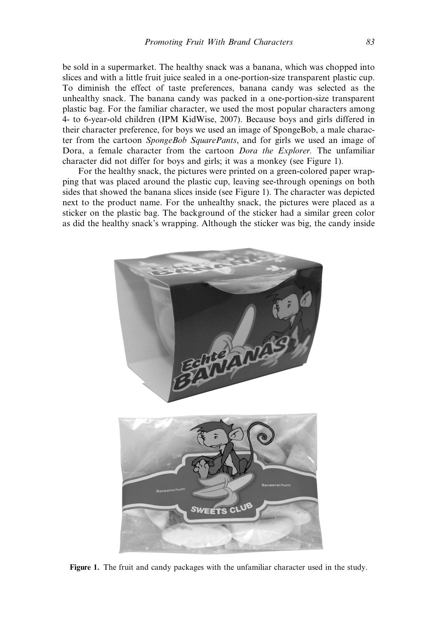be sold in a supermarket. The healthy snack was a banana, which was chopped into slices and with a little fruit juice sealed in a one-portion-size transparent plastic cup. To diminish the effect of taste preferences, banana candy was selected as the unhealthy snack. The banana candy was packed in a one-portion-size transparent plastic bag. For the familiar character, we used the most popular characters among 4- to 6-year-old children (IPM KidWise, 2007). Because boys and girls differed in their character preference, for boys we used an image of SpongeBob, a male character from the cartoon SpongeBob SquarePants, and for girls we used an image of Dora, a female character from the cartoon Dora the Explorer. The unfamiliar character did not differ for boys and girls; it was a monkey (see Figure 1).

For the healthy snack, the pictures were printed on a green-colored paper wrapping that was placed around the plastic cup, leaving see-through openings on both sides that showed the banana slices inside (see Figure 1). The character was depicted next to the product name. For the unhealthy snack, the pictures were placed as a sticker on the plastic bag. The background of the sticker had a similar green color as did the healthy snack's wrapping. Although the sticker was big, the candy inside



Figure 1. The fruit and candy packages with the unfamiliar character used in the study.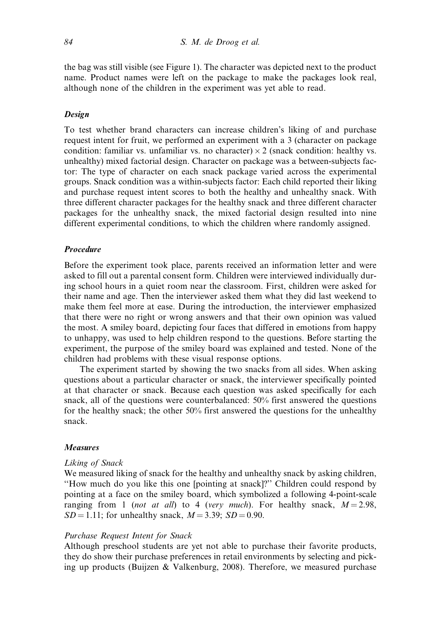the bag was still visible (see Figure 1). The character was depicted next to the product name. Product names were left on the package to make the packages look real, although none of the children in the experiment was yet able to read.

#### Design

To test whether brand characters can increase children's liking of and purchase request intent for fruit, we performed an experiment with a 3 (character on package condition: familiar vs. unfamiliar vs. no character)  $\times$  2 (snack condition: healthy vs. unhealthy) mixed factorial design. Character on package was a between-subjects factor: The type of character on each snack package varied across the experimental groups. Snack condition was a within-subjects factor: Each child reported their liking and purchase request intent scores to both the healthy and unhealthy snack. With three different character packages for the healthy snack and three different character packages for the unhealthy snack, the mixed factorial design resulted into nine different experimental conditions, to which the children where randomly assigned.

#### Procedure

Before the experiment took place, parents received an information letter and were asked to fill out a parental consent form. Children were interviewed individually during school hours in a quiet room near the classroom. First, children were asked for their name and age. Then the interviewer asked them what they did last weekend to make them feel more at ease. During the introduction, the interviewer emphasized that there were no right or wrong answers and that their own opinion was valued the most. A smiley board, depicting four faces that differed in emotions from happy to unhappy, was used to help children respond to the questions. Before starting the experiment, the purpose of the smiley board was explained and tested. None of the children had problems with these visual response options.

The experiment started by showing the two snacks from all sides. When asking questions about a particular character or snack, the interviewer specifically pointed at that character or snack. Because each question was asked specifically for each snack, all of the questions were counterbalanced: 50% first answered the questions for the healthy snack; the other 50% first answered the questions for the unhealthy snack.

#### **Measures**

#### Liking of Snack

We measured liking of snack for the healthy and unhealthy snack by asking children, ''How much do you like this one [pointing at snack]?'' Children could respond by pointing at a face on the smiley board, which symbolized a following 4-point-scale ranging from 1 (not at all) to 4 (very much). For healthy snack,  $M = 2.98$ ,  $SD = 1.11$ ; for unhealthy snack,  $M = 3.39$ ;  $SD = 0.90$ .

#### Purchase Request Intent for Snack

Although preschool students are yet not able to purchase their favorite products, they do show their purchase preferences in retail environments by selecting and picking up products (Buijzen & Valkenburg, 2008). Therefore, we measured purchase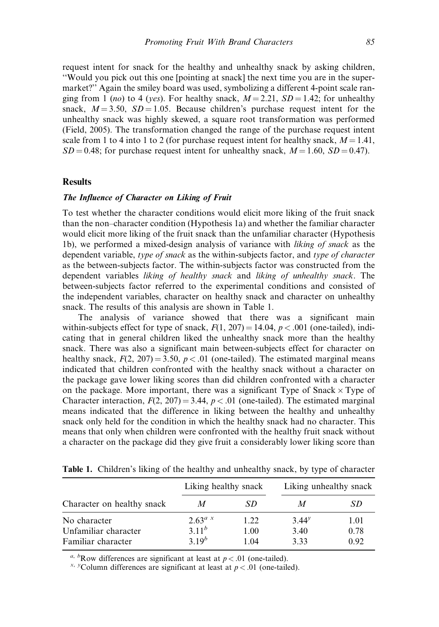request intent for snack for the healthy and unhealthy snack by asking children, ''Would you pick out this one [pointing at snack] the next time you are in the supermarket?'' Again the smiley board was used, symbolizing a different 4-point scale ranging from 1 (no) to 4 (yes). For healthy snack,  $M = 2.21$ ,  $SD = 1.42$ ; for unhealthy snack,  $M = 3.50$ ,  $SD = 1.05$ . Because children's purchase request intent for the unhealthy snack was highly skewed, a square root transformation was performed (Field, 2005). The transformation changed the range of the purchase request intent scale from 1 to 4 into 1 to 2 (for purchase request intent for healthy snack,  $M = 1.41$ ,  $SD = 0.48$ ; for purchase request intent for unhealthy snack,  $M = 1.60$ ,  $SD = 0.47$ ).

#### **Results**

#### The Influence of Character on Liking of Fruit

To test whether the character conditions would elicit more liking of the fruit snack than the non–character condition (Hypothesis 1a) and whether the familiar character would elicit more liking of the fruit snack than the unfamiliar character (Hypothesis 1b), we performed a mixed-design analysis of variance with liking of snack as the dependent variable, type of snack as the within-subjects factor, and type of character as the between-subjects factor. The within-subjects factor was constructed from the dependent variables liking of healthy snack and liking of unhealthy snack. The between-subjects factor referred to the experimental conditions and consisted of the independent variables, character on healthy snack and character on unhealthy snack. The results of this analysis are shown in Table 1.

The analysis of variance showed that there was a significant main within-subjects effect for type of snack,  $F(1, 207) = 14.04$ ,  $p < .001$  (one-tailed), indicating that in general children liked the unhealthy snack more than the healthy snack. There was also a significant main between-subjects effect for character on healthy snack,  $F(2, 207) = 3.50$ ,  $p < .01$  (one-tailed). The estimated marginal means indicated that children confronted with the healthy snack without a character on the package gave lower liking scores than did children confronted with a character on the package. More important, there was a significant Type of Snack  $\times$  Type of Character interaction,  $F(2, 207) = 3.44$ ,  $p < .01$  (one-tailed). The estimated marginal means indicated that the difference in liking between the healthy and unhealthy snack only held for the condition in which the healthy snack had no character. This means that only when children were confronted with the healthy fruit snack without a character on the package did they give fruit a considerably lower liking score than

| Character on healthy snack                                 | Liking healthy snack                     |                      | Liking unhealthy snack         |                      |
|------------------------------------------------------------|------------------------------------------|----------------------|--------------------------------|----------------------|
|                                                            | M                                        | SD                   | M                              | SD                   |
| No character<br>Unfamiliar character<br>Familiar character | $2.63^{a}$ x<br>$3.11^{b}$<br>$3.19^{b}$ | 1.22<br>1.00<br>1.04 | $3.44^{\circ}$<br>3.40<br>3.33 | 1.01<br>0.78<br>0.92 |

Table 1. Children's liking of the healthy and unhealthy snack, by type of character

<sup>a, b</sup>Row differences are significant at least at  $p < .01$  (one-tailed).

<sup>x, y</sup>Column differences are significant at least at  $p < .01$  (one-tailed).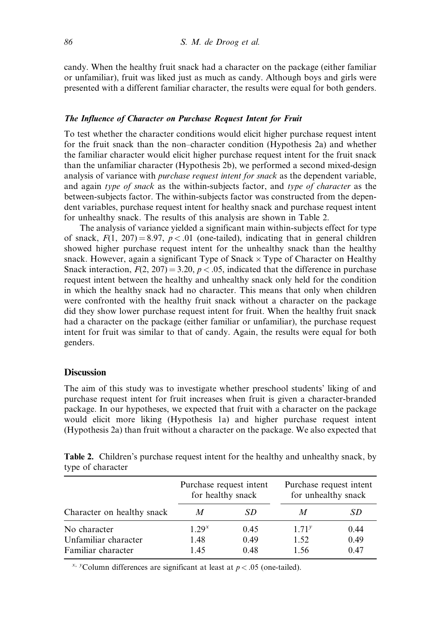candy. When the healthy fruit snack had a character on the package (either familiar or unfamiliar), fruit was liked just as much as candy. Although boys and girls were presented with a different familiar character, the results were equal for both genders.

#### The Influence of Character on Purchase Request Intent for Fruit

To test whether the character conditions would elicit higher purchase request intent for the fruit snack than the non–character condition (Hypothesis 2a) and whether the familiar character would elicit higher purchase request intent for the fruit snack than the unfamiliar character (Hypothesis 2b), we performed a second mixed-design analysis of variance with *purchase request intent for snack* as the dependent variable, and again type of snack as the within-subjects factor, and type of character as the between-subjects factor. The within-subjects factor was constructed from the dependent variables, purchase request intent for healthy snack and purchase request intent for unhealthy snack. The results of this analysis are shown in Table 2.

The analysis of variance yielded a significant main within-subjects effect for type of snack,  $F(1, 207) = 8.97$ ,  $p < .01$  (one-tailed), indicating that in general children showed higher purchase request intent for the unhealthy snack than the healthy snack. However, again a significant Type of Snack  $\times$  Type of Character on Healthy Snack interaction,  $F(2, 207) = 3.20$ ,  $p < .05$ , indicated that the difference in purchase request intent between the healthy and unhealthy snack only held for the condition in which the healthy snack had no character. This means that only when children were confronted with the healthy fruit snack without a character on the package did they show lower purchase request intent for fruit. When the healthy fruit snack had a character on the package (either familiar or unfamiliar), the purchase request intent for fruit was similar to that of candy. Again, the results were equal for both genders.

#### **Discussion**

The aim of this study was to investigate whether preschool students' liking of and purchase request intent for fruit increases when fruit is given a character-branded package. In our hypotheses, we expected that fruit with a character on the package would elicit more liking (Hypothesis 1a) and higher purchase request intent (Hypothesis 2a) than fruit without a character on the package. We also expected that

| type of character |                         |                         |
|-------------------|-------------------------|-------------------------|
|                   | Purchase request intent | Purchase request intent |
|                   | for healthy snack       | for unhealthy snack     |

Table 2. Children's purchase request intent for the healthy and unhealthy snack, by

| Character on healthy snack | Purchase request intent<br>for healthy snack |      | Purchase request intent<br>for unhealthy snack |      |
|----------------------------|----------------------------------------------|------|------------------------------------------------|------|
|                            |                                              | SD   | M                                              | SD.  |
| No character               | $1.29^{x}$                                   | 0.45 | $1.71^{\circ}$                                 | 0.44 |
| Unfamiliar character       | 1.48                                         | 0.49 | 1.52                                           | 0.49 |
| Familiar character         | 1.45                                         | 0.48 | 1.56                                           | 0.47 |

<sup>x, y</sup>Column differences are significant at least at  $p < .05$  (one-tailed).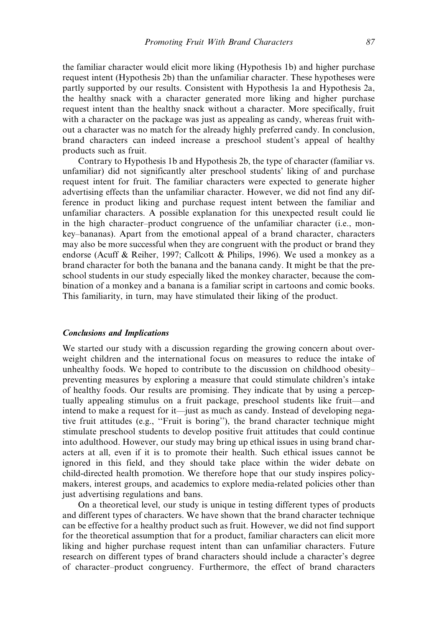the familiar character would elicit more liking (Hypothesis 1b) and higher purchase request intent (Hypothesis 2b) than the unfamiliar character. These hypotheses were partly supported by our results. Consistent with Hypothesis 1a and Hypothesis 2a, the healthy snack with a character generated more liking and higher purchase request intent than the healthy snack without a character. More specifically, fruit with a character on the package was just as appealing as candy, whereas fruit without a character was no match for the already highly preferred candy. In conclusion, brand characters can indeed increase a preschool student's appeal of healthy products such as fruit.

Contrary to Hypothesis 1b and Hypothesis 2b, the type of character (familiar vs. unfamiliar) did not significantly alter preschool students' liking of and purchase request intent for fruit. The familiar characters were expected to generate higher advertising effects than the unfamiliar character. However, we did not find any difference in product liking and purchase request intent between the familiar and unfamiliar characters. A possible explanation for this unexpected result could lie in the high character–product congruence of the unfamiliar character (i.e., monkey–bananas). Apart from the emotional appeal of a brand character, characters may also be more successful when they are congruent with the product or brand they endorse (Acuff & Reiher, 1997; Callcott & Philips, 1996). We used a monkey as a brand character for both the banana and the banana candy. It might be that the preschool students in our study especially liked the monkey character, because the combination of a monkey and a banana is a familiar script in cartoons and comic books. This familiarity, in turn, may have stimulated their liking of the product.

#### Conclusions and Implications

We started our study with a discussion regarding the growing concern about overweight children and the international focus on measures to reduce the intake of unhealthy foods. We hoped to contribute to the discussion on childhood obesity– preventing measures by exploring a measure that could stimulate children's intake of healthy foods. Our results are promising. They indicate that by using a perceptually appealing stimulus on a fruit package, preschool students like fruit—and intend to make a request for it—just as much as candy. Instead of developing negative fruit attitudes (e.g., ''Fruit is boring''), the brand character technique might stimulate preschool students to develop positive fruit attitudes that could continue into adulthood. However, our study may bring up ethical issues in using brand characters at all, even if it is to promote their health. Such ethical issues cannot be ignored in this field, and they should take place within the wider debate on child-directed health promotion. We therefore hope that our study inspires policymakers, interest groups, and academics to explore media-related policies other than just advertising regulations and bans.

On a theoretical level, our study is unique in testing different types of products and different types of characters. We have shown that the brand character technique can be effective for a healthy product such as fruit. However, we did not find support for the theoretical assumption that for a product, familiar characters can elicit more liking and higher purchase request intent than can unfamiliar characters. Future research on different types of brand characters should include a character's degree of character–product congruency. Furthermore, the effect of brand characters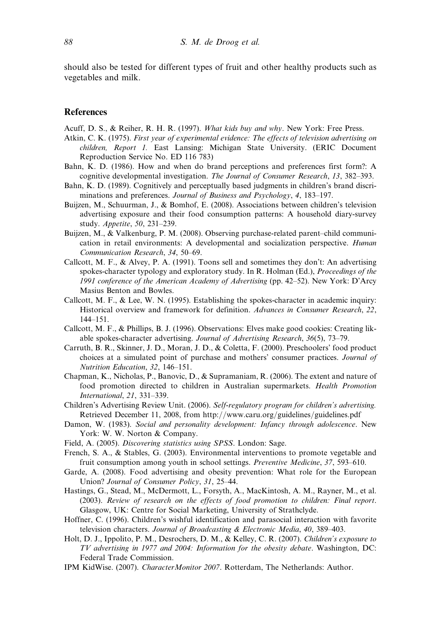should also be tested for different types of fruit and other healthy products such as vegetables and milk.

#### **References**

Acuff, D. S., & Reiher, R. H. R. (1997). What kids buy and why. New York: Free Press.

- Atkin, C. K. (1975). First year of experimental evidence: The effects of television advertising on children, Report 1. East Lansing: Michigan State University. (ERIC Document Reproduction Service No. ED 116 783)
- Bahn, K. D. (1986). How and when do brand perceptions and preferences first form?: A cognitive developmental investigation. The Journal of Consumer Research, 13, 382–393.
- Bahn, K. D. (1989). Cognitively and perceptually based judgments in children's brand discriminations and preferences. Journal of Business and Psychology, 4, 183–197.
- Buijzen, M., Schuurman, J., & Bomhof, E. (2008). Associations between children's television advertising exposure and their food consumption patterns: A household diary-survey study. Appetite, 50, 231–239.
- Buijzen, M., & Valkenburg, P. M. (2008). Observing purchase-related parent–child communication in retail environments: A developmental and socialization perspective. Human Communication Research, 34, 50–69.
- Callcott, M. F., & Alvey, P. A. (1991). Toons sell and sometimes they don't: An advertising spokes-character typology and exploratory study. In R. Holman (Ed.), Proceedings of the 1991 conference of the American Academy of Advertising (pp. 42–52). New York: D'Arcy Masius Benton and Bowles.
- Callcott, M. F., & Lee, W. N. (1995). Establishing the spokes-character in academic inquiry: Historical overview and framework for definition. Advances in Consumer Research, 22, 144–151.
- Callcott, M. F., & Phillips, B. J. (1996). Observations: Elves make good cookies: Creating likable spokes-character advertising. Journal of Advertising Research, 36(5), 73–79.
- Carruth, B. R., Skinner, J. D., Moran, J. D., & Coletta, F. (2000). Preschoolers' food product choices at a simulated point of purchase and mothers' consumer practices. Journal of Nutrition Education, 32, 146–151.
- Chapman, K., Nicholas, P., Banovic, D., & Supramaniam, R. (2006). The extent and nature of food promotion directed to children in Australian supermarkets. Health Promotion International, 21, 331–339.
- Children's Advertising Review Unit. (2006). Self-regulatory program for children's advertising. Retrieved December 11, 2008, from http://www.caru.org/guidelines/guidelines.pdf
- Damon, W. (1983). Social and personality development: Infancy through adolescence. New York: W. W. Norton & Company.
- Field, A. (2005). Discovering statistics using SPSS. London: Sage.
- French, S. A., & Stables, G. (2003). Environmental interventions to promote vegetable and fruit consumption among youth in school settings. Preventive Medicine, 37, 593–610.
- Garde, A. (2008). Food advertising and obesity prevention: What role for the European Union? Journal of Consumer Policy, 31, 25–44.
- Hastings, G., Stead, M., McDermott, L., Forsyth, A., MacKintosh, A. M., Rayner, M., et al. (2003). Review of research on the effects of food promotion to children: Final report. Glasgow, UK: Centre for Social Marketing, University of Strathclyde.
- Hoffner, C. (1996). Children's wishful identification and parasocial interaction with favorite television characters. Journal of Broadcasting & Electronic Media, 40, 389–403.
- Holt, D. J., Ippolito, P. M., Desrochers, D. M., & Kelley, C. R. (2007). Children's exposure to TV advertising in 1977 and 2004: Information for the obesity debate. Washington, DC: Federal Trade Commission.
- IPM KidWise. (2007). CharacterMonitor 2007. Rotterdam, The Netherlands: Author.